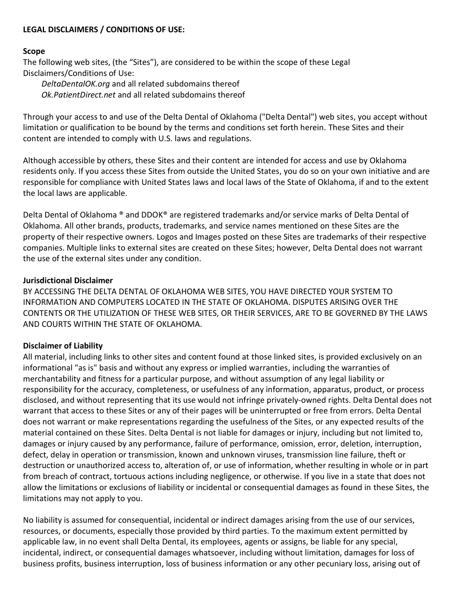## **LEGAL DISCLAIMERS / CONDITIONS OF USE:**

#### **Scope**

The following web sites, (the "Sites"), are considered to be within the scope of these Legal Disclaimers/Conditions of Use:

*DeltaDentalOK.org* and all related subdomains thereof *Ok.PatientDirect.net* and all related subdomains thereof

Through your access to and use of the Delta Dental of Oklahoma ("Delta Dental") web sites, you accept without limitation or qualification to be bound by the terms and conditions set forth herein. These Sites and their content are intended to comply with U.S. laws and regulations.

Although accessible by others, these Sites and their content are intended for access and use by Oklahoma residents only. If you access these Sites from outside the United States, you do so on your own initiative and are responsible for compliance with United States laws and local laws of the State of Oklahoma, if and to the extent the local laws are applicable.

Delta Dental of Oklahoma ® and DDOK® are registered trademarks and/or service marks of Delta Dental of Oklahoma. All other brands, products, trademarks, and service names mentioned on these Sites are the property of their respective owners. Logos and Images posted on these Sites are trademarks of their respective companies. Multiple links to external sites are created on these Sites; however, Delta Dental does not warrant the use of the external sites under any condition.

#### **Jurisdictional Disclaimer**

BY ACCESSING THE DELTA DENTAL OF OKLAHOMA WEB SITES, YOU HAVE DIRECTED YOUR SYSTEM TO INFORMATION AND COMPUTERS LOCATED IN THE STATE OF OKLAHOMA. DISPUTES ARISING OVER THE CONTENTS OR THE UTILIZATION OF THESE WEB SITES, OR THEIR SERVICES, ARE TO BE GOVERNED BY THE LAWS AND COURTS WITHIN THE STATE OF OKLAHOMA.

# **Disclaimer of Liability**

All material, including links to other sites and content found at those linked sites, is provided exclusively on an informational "as is" basis and without any express or implied warranties, including the warranties of merchantability and fitness for a particular purpose, and without assumption of any legal liability or responsibility for the accuracy, completeness, or usefulness of any information, apparatus, product, or process disclosed, and without representing that its use would not infringe privately-owned rights. Delta Dental does not warrant that access to these Sites or any of their pages will be uninterrupted or free from errors. Delta Dental does not warrant or make representations regarding the usefulness of the Sites, or any expected results of the material contained on these Sites. Delta Dental is not liable for damages or injury, including but not limited to, damages or injury caused by any performance, failure of performance, omission, error, deletion, interruption, defect, delay in operation or transmission, known and unknown viruses, transmission line failure, theft or destruction or unauthorized access to, alteration of, or use of information, whether resulting in whole or in part from breach of contract, tortuous actions including negligence, or otherwise. If you live in a state that does not allow the limitations or exclusions of liability or incidental or consequential damages as found in these Sites, the limitations may not apply to you.

No liability is assumed for consequential, incidental or indirect damages arising from the use of our services, resources, or documents, especially those provided by third parties. To the maximum extent permitted by applicable law, in no event shall Delta Dental, its employees, agents or assigns, be liable for any special, incidental, indirect, or consequential damages whatsoever, including without limitation, damages for loss of business profits, business interruption, loss of business information or any other pecuniary loss, arising out of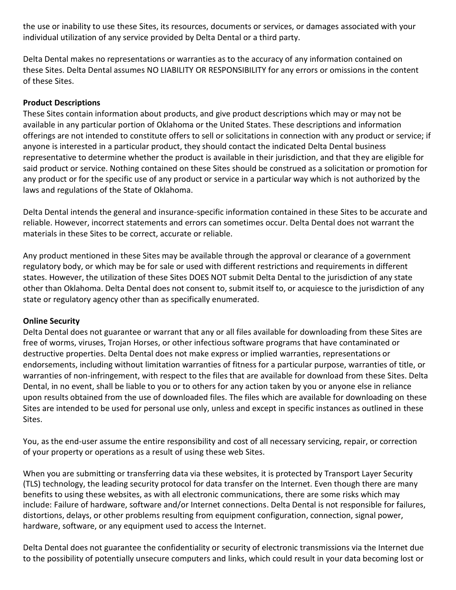the use or inability to use these Sites, its resources, documents or services, or damages associated with your individual utilization of any service provided by Delta Dental or a third party.

Delta Dental makes no representations or warranties as to the accuracy of any information contained on these Sites. Delta Dental assumes NO LIABILITY OR RESPONSIBILITY for any errors or omissions in the content of these Sites.

## **Product Descriptions**

These Sites contain information about products, and give product descriptions which may or may not be available in any particular portion of Oklahoma or the United States. These descriptions and information offerings are not intended to constitute offers to sell or solicitations in connection with any product or service; if anyone is interested in a particular product, they should contact the indicated Delta Dental business representative to determine whether the product is available in their jurisdiction, and that they are eligible for said product or service. Nothing contained on these Sites should be construed as a solicitation or promotion for any product or for the specific use of any product or service in a particular way which is not authorized by the laws and regulations of the State of Oklahoma.

Delta Dental intends the general and insurance-specific information contained in these Sites to be accurate and reliable. However, incorrect statements and errors can sometimes occur. Delta Dental does not warrant the materials in these Sites to be correct, accurate or reliable.

Any product mentioned in these Sites may be available through the approval or clearance of a government regulatory body, or which may be for sale or used with different restrictions and requirements in different states. However, the utilization of these Sites DOES NOT submit Delta Dental to the jurisdiction of any state other than Oklahoma. Delta Dental does not consent to, submit itself to, or acquiesce to the jurisdiction of any state or regulatory agency other than as specifically enumerated.

# **Online Security**

Delta Dental does not guarantee or warrant that any or all files available for downloading from these Sites are free of worms, viruses, Trojan Horses, or other infectious software programs that have contaminated or destructive properties. Delta Dental does not make express or implied warranties, representations or endorsements, including without limitation warranties of fitness for a particular purpose, warranties of title, or warranties of non-infringement, with respect to the files that are available for download from these Sites. Delta Dental, in no event, shall be liable to you or to others for any action taken by you or anyone else in reliance upon results obtained from the use of downloaded files. The files which are available for downloading on these Sites are intended to be used for personal use only, unless and except in specific instances as outlined in these Sites.

You, as the end-user assume the entire responsibility and cost of all necessary servicing, repair, or correction of your property or operations as a result of using these web Sites.

When you are submitting or transferring data via these websites, it is protected by Transport Layer Security (TLS) technology, the leading security protocol for data transfer on the Internet. Even though there are many benefits to using these websites, as with all electronic communications, there are some risks which may include: Failure of hardware, software and/or Internet connections. Delta Dental is not responsible for failures, distortions, delays, or other problems resulting from equipment configuration, connection, signal power, hardware, software, or any equipment used to access the Internet.

Delta Dental does not guarantee the confidentiality or security of electronic transmissions via the Internet due to the possibility of potentially unsecure computers and links, which could result in your data becoming lost or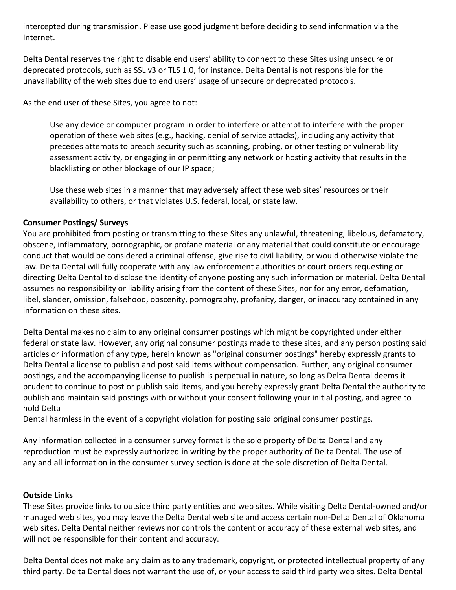intercepted during transmission. Please use good judgment before deciding to send information via the Internet.

Delta Dental reserves the right to disable end users' ability to connect to these Sites using unsecure or deprecated protocols, such as SSL v3 or TLS 1.0, for instance. Delta Dental is not responsible for the unavailability of the web sites due to end users' usage of unsecure or deprecated protocols.

As the end user of these Sites, you agree to not:

Use any device or computer program in order to interfere or attempt to interfere with the proper operation of these web sites (e.g., hacking, denial of service attacks), including any activity that precedes attempts to breach security such as scanning, probing, or other testing or vulnerability assessment activity, or engaging in or permitting any network or hosting activity that results in the blacklisting or other blockage of our IP space;

Use these web sites in a manner that may adversely affect these web sites' resources or their availability to others, or that violates U.S. federal, local, or state law.

# **Consumer Postings/ Surveys**

You are prohibited from posting or transmitting to these Sites any unlawful, threatening, libelous, defamatory, obscene, inflammatory, pornographic, or profane material or any material that could constitute or encourage conduct that would be considered a criminal offense, give rise to civil liability, or would otherwise violate the law. Delta Dental will fully cooperate with any law enforcement authorities or court orders requesting or directing Delta Dental to disclose the identity of anyone posting any such information or material. Delta Dental assumes no responsibility or liability arising from the content of these Sites, nor for any error, defamation, libel, slander, omission, falsehood, obscenity, pornography, profanity, danger, or inaccuracy contained in any information on these sites.

Delta Dental makes no claim to any original consumer postings which might be copyrighted under either federal or state law. However, any original consumer postings made to these sites, and any person posting said articles or information of any type, herein known as "original consumer postings" hereby expressly grants to Delta Dental a license to publish and post said items without compensation. Further, any original consumer postings, and the accompanying license to publish is perpetual in nature, so long as Delta Dental deems it prudent to continue to post or publish said items, and you hereby expressly grant Delta Dental the authority to publish and maintain said postings with or without your consent following your initial posting, and agree to hold Delta

Dental harmless in the event of a copyright violation for posting said original consumer postings.

Any information collected in a consumer survey format is the sole property of Delta Dental and any reproduction must be expressly authorized in writing by the proper authority of Delta Dental. The use of any and all information in the consumer survey section is done at the sole discretion of Delta Dental.

# **Outside Links**

These Sites provide links to outside third party entities and web sites. While visiting Delta Dental-owned and/or managed web sites, you may leave the Delta Dental web site and access certain non-Delta Dental of Oklahoma web sites. Delta Dental neither reviews nor controls the content or accuracy of these external web sites, and will not be responsible for their content and accuracy.

Delta Dental does not make any claim as to any trademark, copyright, or protected intellectual property of any third party. Delta Dental does not warrant the use of, or your access to said third party web sites. Delta Dental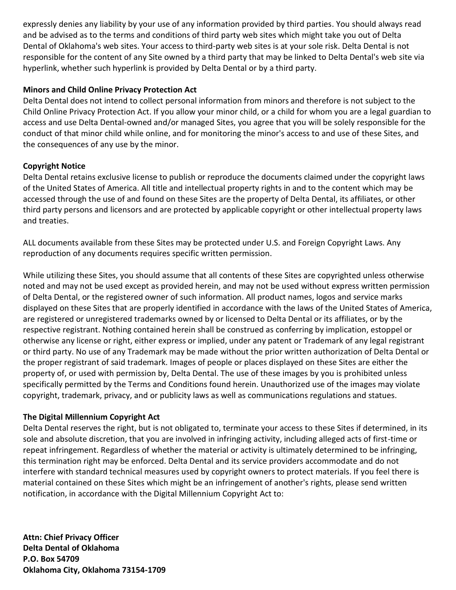expressly denies any liability by your use of any information provided by third parties. You should always read and be advised as to the terms and conditions of third party web sites which might take you out of Delta Dental of Oklahoma's web sites. Your access to third-party web sites is at your sole risk. Delta Dental is not responsible for the content of any Site owned by a third party that may be linked to Delta Dental's web site via hyperlink, whether such hyperlink is provided by Delta Dental or by a third party.

# **Minors and Child Online Privacy Protection Act**

Delta Dental does not intend to collect personal information from minors and therefore is not subject to the Child Online Privacy Protection Act. If you allow your minor child, or a child for whom you are a legal guardian to access and use Delta Dental-owned and/or managed Sites, you agree that you will be solely responsible for the conduct of that minor child while online, and for monitoring the minor's access to and use of these Sites, and the consequences of any use by the minor.

# **Copyright Notice**

Delta Dental retains exclusive license to publish or reproduce the documents claimed under the copyright laws of the United States of America. All title and intellectual property rights in and to the content which may be accessed through the use of and found on these Sites are the property of Delta Dental, its affiliates, or other third party persons and licensors and are protected by applicable copyright or other intellectual property laws and treaties.

ALL documents available from these Sites may be protected under U.S. and Foreign Copyright Laws. Any reproduction of any documents requires specific written permission.

While utilizing these Sites, you should assume that all contents of these Sites are copyrighted unless otherwise noted and may not be used except as provided herein, and may not be used without express written permission of Delta Dental, or the registered owner of such information. All product names, logos and service marks displayed on these Sites that are properly identified in accordance with the laws of the United States of America, are registered or unregistered trademarks owned by or licensed to Delta Dental or its affiliates, or by the respective registrant. Nothing contained herein shall be construed as conferring by implication, estoppel or otherwise any license or right, either express or implied, under any patent or Trademark of any legal registrant or third party. No use of any Trademark may be made without the prior written authorization of Delta Dental or the proper registrant of said trademark. Images of people or places displayed on these Sites are either the property of, or used with permission by, Delta Dental. The use of these images by you is prohibited unless specifically permitted by the Terms and Conditions found herein. Unauthorized use of the images may violate copyright, trademark, privacy, and or publicity laws as well as communications regulations and statues.

# **The Digital Millennium Copyright Act**

Delta Dental reserves the right, but is not obligated to, terminate your access to these Sites if determined, in its sole and absolute discretion, that you are involved in infringing activity, including alleged acts of first-time or repeat infringement. Regardless of whether the material or activity is ultimately determined to be infringing, this termination right may be enforced. Delta Dental and its service providers accommodate and do not interfere with standard technical measures used by copyright owners to protect materials. If you feel there is material contained on these Sites which might be an infringement of another's rights, please send written notification, in accordance with the Digital Millennium Copyright Act to:

**Attn: Chief Privacy Officer Delta Dental of Oklahoma P.O. Box 54709 Oklahoma City, Oklahoma 73154-1709**